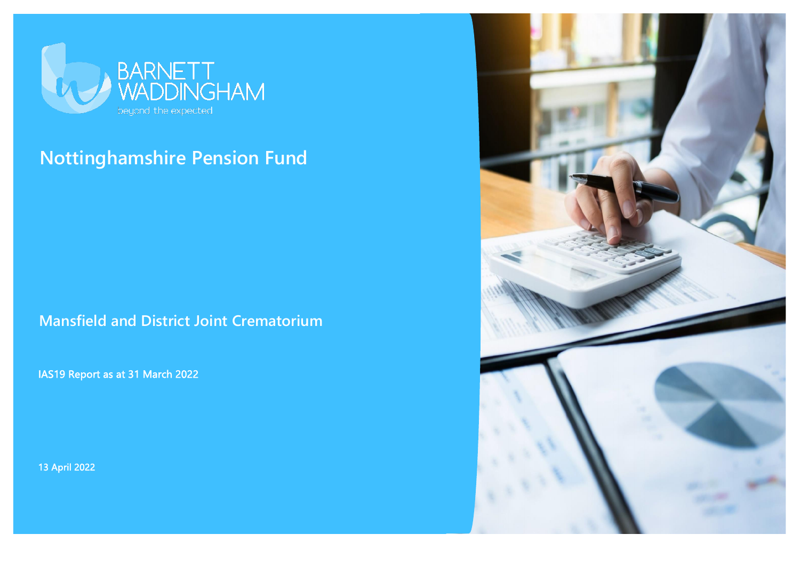

# **Nottinghamshire Pension Fund**

**Mansfield and District Joint Crematorium**

IAS19 Report as at 31 March 2022

13 April 2022

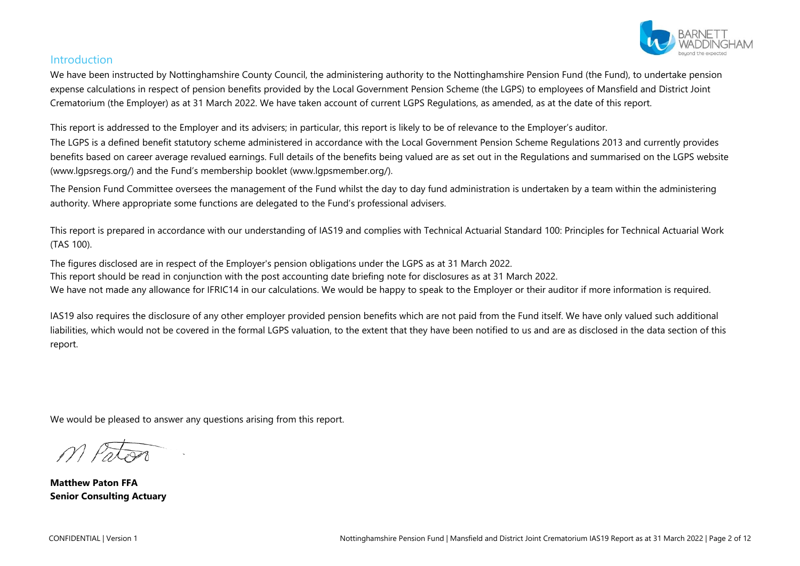

## Introduction

We have been instructed by Nottinghamshire County Council, the administering authority to the Nottinghamshire Pension Fund (the Fund), to undertake pension expense calculations in respect of pension benefits provided by the Local Government Pension Scheme (the LGPS) to employees of Mansfield and District Joint Crematorium (the Employer) as at 31 March 2022. We have taken account of current LGPS Regulations, as amended, as at the date of this report.

This report is addressed to the Employer and its advisers; in particular, this report is likely to be of relevance to the Employer's auditor.

The LGPS is a defined benefit statutory scheme administered in accordance with the Local Government Pension Scheme Regulations 2013 and currently provides benefits based on career average revalued earnings. Full details of the benefits being valued are as set out in the Regulations and summarised on the LGPS website (www.lgpsregs.org/) and the Fund's membership booklet (www.lgpsmember.org/).

The Pension Fund Committee oversees the management of the Fund whilst the day to day fund administration is undertaken by a team within the administering authority. Where appropriate some functions are delegated to the Fund's professional advisers.

This report is prepared in accordance with our understanding of IAS19 and complies with Technical Actuarial Standard 100: Principles for Technical Actuarial Work (TAS 100).

The figures disclosed are in respect of the Employer's pension obligations under the LGPS as at 31 March 2022. This report should be read in conjunction with the post accounting date briefing note for disclosures as at 31 March 2022. We have not made any allowance for IFRIC14 in our calculations. We would be happy to speak to the Employer or their auditor if more information is required.

IAS19 also requires the disclosure of any other employer provided pension benefits which are not paid from the Fund itself. We have only valued such additional liabilities, which would not be covered in the formal LGPS valuation, to the extent that they have been notified to us and are as disclosed in the data section of this report.

We would be pleased to answer any questions arising from this report.

**Matthew Paton FFA Senior Consulting Actuary**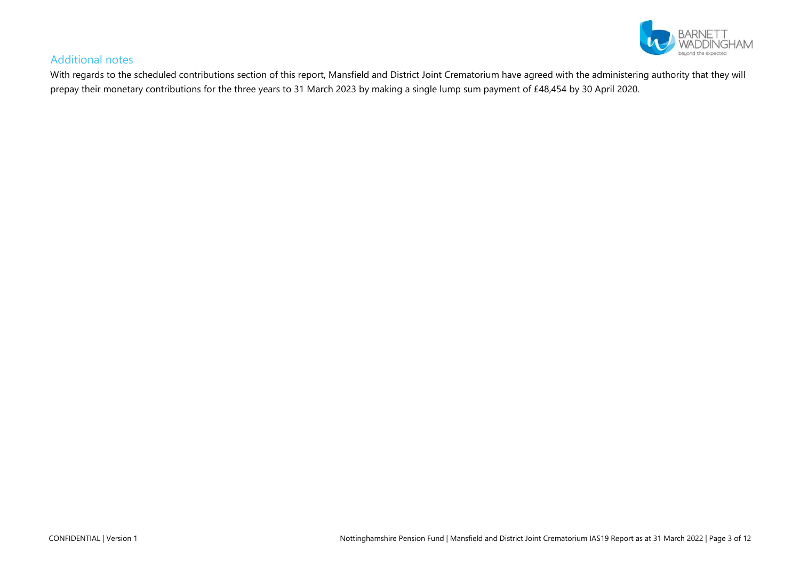

## Additional notes

With regards to the scheduled contributions section of this report, Mansfield and District Joint Crematorium have agreed with the administering authority that they will prepay their monetary contributions for the three years to 31 March 2023 by making a single lump sum payment of £48,454 by 30 April 2020.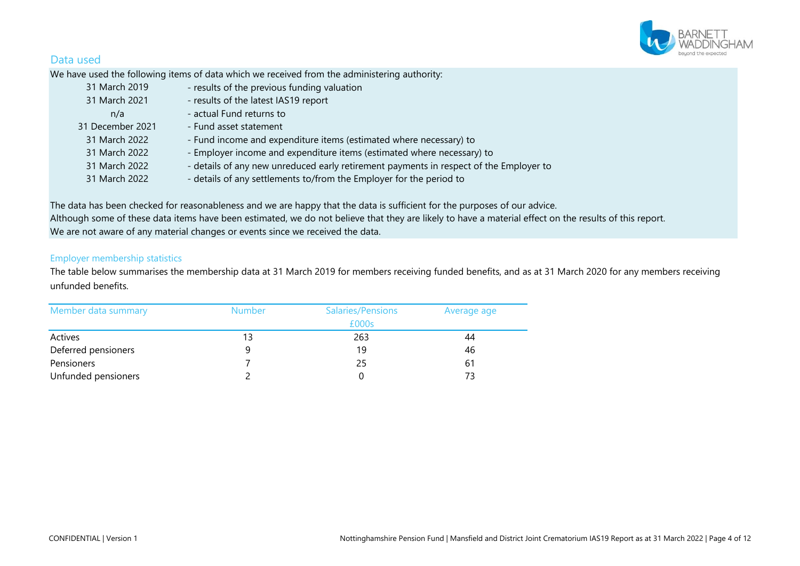

## Data used

We have used the following items of data which we received from the administering authority:

| 31 March 2019    | - results of the previous funding valuation                                            |
|------------------|----------------------------------------------------------------------------------------|
| 31 March 2021    | - results of the latest IAS19 report                                                   |
| n/a              | - actual Fund returns to                                                               |
| 31 December 2021 | - Fund asset statement                                                                 |
| 31 March 2022    | - Fund income and expenditure items (estimated where necessary) to                     |
| 31 March 2022    | - Employer income and expenditure items (estimated where necessary) to                 |
| 31 March 2022    | - details of any new unreduced early retirement payments in respect of the Employer to |
| 31 March 2022    | - details of any settlements to/from the Employer for the period to                    |

The data has been checked for reasonableness and we are happy that the data is sufficient for the purposes of our advice. Although some of these data items have been estimated, we do not believe that they are likely to have a material effect on the results of this report. We are not aware of any material changes or events since we received the data.

#### Employer membership statistics

The table below summarises the membership data at 31 March 2019 for members receiving funded benefits, and as at 31 March 2020 for any members receiving unfunded benefits.

| Member data summary | <b>Number</b> | <b>Salaries/Pensions</b> | Average age |
|---------------------|---------------|--------------------------|-------------|
|                     |               | £000s                    |             |
| Actives             | 13            | 263                      | 44          |
| Deferred pensioners |               | 19                       | 46          |
| Pensioners          |               | 25                       | 61          |
| Unfunded pensioners |               |                          | 73          |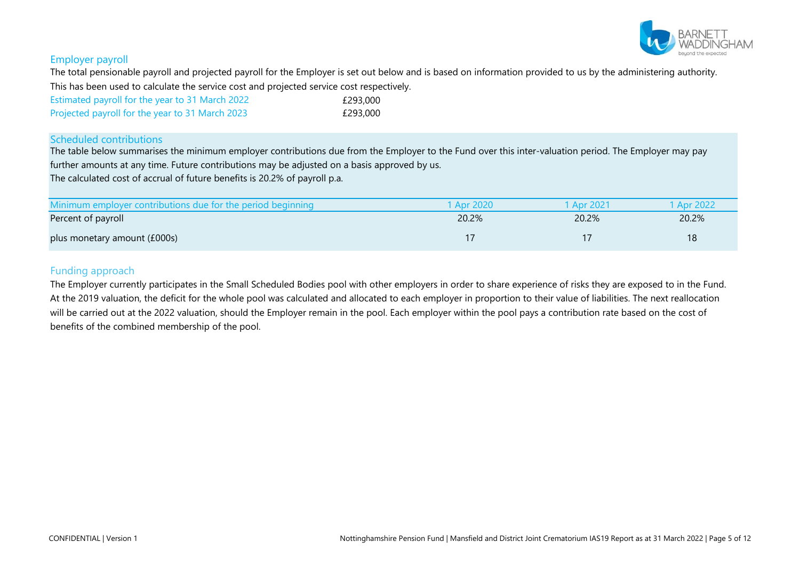

#### Employer payroll

The total pensionable payroll and projected payroll for the Employer is set out below and is based on information provided to us by the administering authority. This has been used to calculate the service cost and projected service cost respectively.

| Estimated payroll for the year to 31 March 2022 | £293.000 |
|-------------------------------------------------|----------|
| Projected payroll for the year to 31 March 2023 | £293.000 |

#### Scheduled contributions

The table below summarises the minimum employer contributions due from the Employer to the Fund over this inter-valuation period. The Employer may pay further amounts at any time. Future contributions may be adjusted on a basis approved by us.

The calculated cost of accrual of future benefits is 20.2% of payroll p.a.

| Minimum employer contributions due for the period beginning | 1 Apr 2020 | Apr 2021 | 1 Apr 2022 |
|-------------------------------------------------------------|------------|----------|------------|
| Percent of payroll                                          | 20.2%      | 20.2%    | 20.2%      |
| plus monetary amount (£000s)                                |            |          | 18         |

#### Funding approach

The Employer currently participates in the Small Scheduled Bodies pool with other employers in order to share experience of risks they are exposed to in the Fund. At the 2019 valuation, the deficit for the whole pool was calculated and allocated to each employer in proportion to their value of liabilities. The next reallocation will be carried out at the 2022 valuation, should the Employer remain in the pool. Each employer within the pool pays a contribution rate based on the cost of benefits of the combined membership of the pool.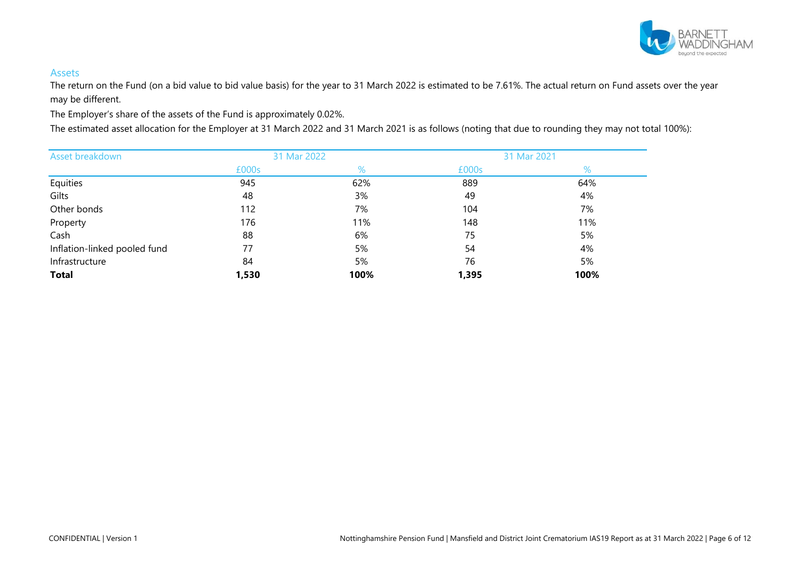

#### Assets

The return on the Fund (on a bid value to bid value basis) for the year to 31 March 2022 is estimated to be 7.61%. The actual return on Fund assets over the year may be different.

The Employer's share of the assets of the Fund is approximately 0.02%.

The estimated asset allocation for the Employer at 31 March 2022 and 31 March 2021 is as follows (noting that due to rounding they may not total 100%):

| Asset breakdown              | 31 Mar 2022 |      |       | 31 Mar 2021 |
|------------------------------|-------------|------|-------|-------------|
|                              | £000s       | %    | £000s | %           |
| Equities                     | 945         | 62%  | 889   | 64%         |
| Gilts                        | 48          | 3%   | 49    | 4%          |
| Other bonds                  | 112         | 7%   | 104   | 7%          |
| Property                     | 176         | 11%  | 148   | 11%         |
| Cash                         | 88          | 6%   | 75    | 5%          |
| Inflation-linked pooled fund | 77          | 5%   | 54    | 4%          |
| Infrastructure               | 84          | 5%   | 76    | 5%          |
| <b>Total</b>                 | 1,530       | 100% | 1,395 | 100%        |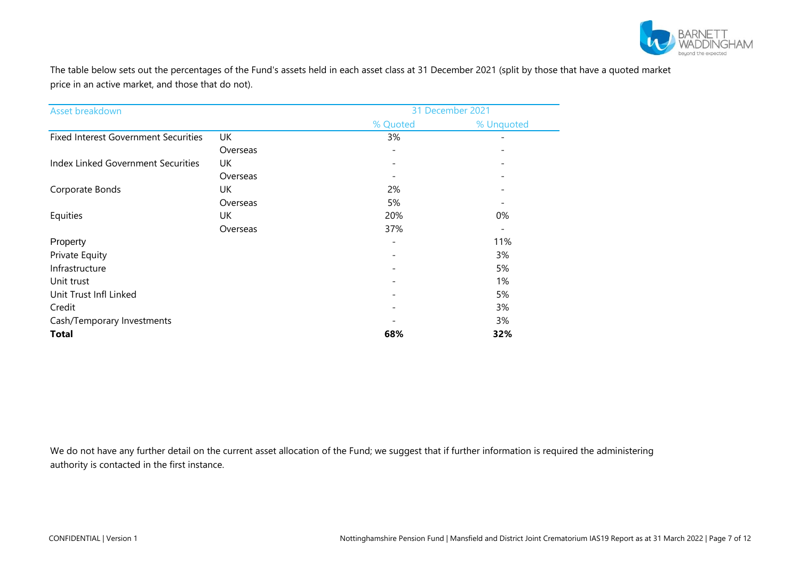

The table below sets out the percentages of the Fund's assets held in each asset class at 31 December 2021 (split by those that have a quoted market price in an active market, and those that do not).

| Asset breakdown                             |          |                              | 31 December 2021         |
|---------------------------------------------|----------|------------------------------|--------------------------|
|                                             |          | % Quoted                     | % Unquoted               |
| <b>Fixed Interest Government Securities</b> | UK       | 3%                           |                          |
|                                             | Overseas | $\overline{\phantom{a}}$     |                          |
| Index Linked Government Securities          | UK       | $\overline{\phantom{0}}$     |                          |
|                                             | Overseas | $\overline{\phantom{m}}$     |                          |
| Corporate Bonds                             | UK       | 2%                           |                          |
|                                             | Overseas | 5%                           |                          |
| Equities                                    | UK       | 20%                          | 0%                       |
|                                             | Overseas | 37%                          | $\overline{\phantom{0}}$ |
| Property                                    |          | $\qquad \qquad -$            | 11%                      |
| Private Equity                              |          | $\overline{\phantom{a}}$     | 3%                       |
| Infrastructure                              |          | $\qquad \qquad \blacksquare$ | 5%                       |
| Unit trust                                  |          | $\overline{\phantom{a}}$     | 1%                       |
| Unit Trust Infl Linked                      |          | $\qquad \qquad -$            | 5%                       |
| Credit                                      |          | $\qquad \qquad -$            | 3%                       |
| Cash/Temporary Investments                  |          |                              | 3%                       |
| <b>Total</b>                                |          | 68%                          | 32%                      |

We do not have any further detail on the current asset allocation of the Fund; we suggest that if further information is required the administering authority is contacted in the first instance.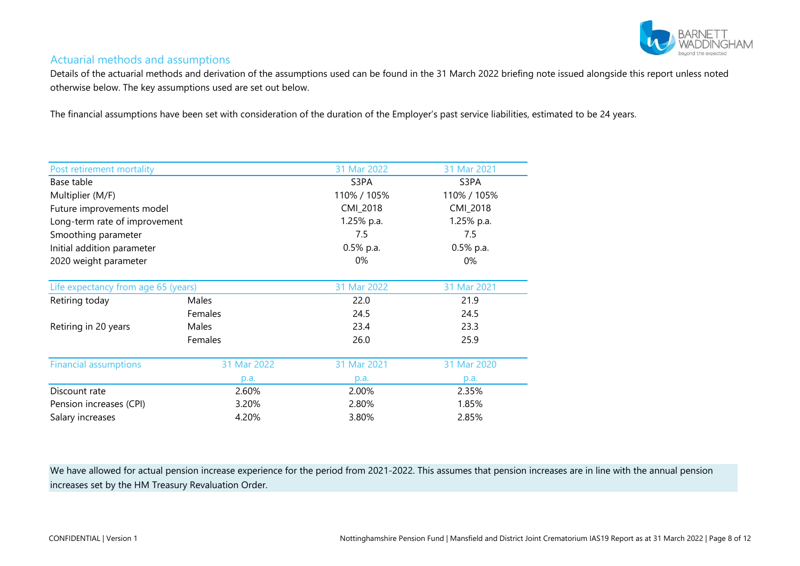

## Actuarial methods and assumptions

Details of the actuarial methods and derivation of the assumptions used can be found in the 31 March 2022 briefing note issued alongside this report unless noted otherwise below. The key assumptions used are set out below.

The financial assumptions have been set with consideration of the duration of the Employer's past service liabilities, estimated to be 24 years.

| Post retirement mortality           |             | 31 Mar 2022 | 31 Mar 2021 |
|-------------------------------------|-------------|-------------|-------------|
| Base table                          |             | S3PA        | S3PA        |
| Multiplier (M/F)                    |             | 110% / 105% | 110% / 105% |
| Future improvements model           |             | CMI_2018    | CMI_2018    |
| Long-term rate of improvement       |             | 1.25% p.a.  | 1.25% p.a.  |
| Smoothing parameter                 |             | 7.5         | 7.5         |
| Initial addition parameter          |             | 0.5% p.a.   | 0.5% p.a.   |
| 2020 weight parameter               |             | 0%          | 0%          |
|                                     |             |             |             |
| Life expectancy from age 65 (years) |             | 31 Mar 2022 | 31 Mar 2021 |
| Retiring today                      | Males       | 22.0        | 21.9        |
|                                     | Females     | 24.5        | 24.5        |
| Retiring in 20 years                | Males       | 23.4        | 23.3        |
|                                     | Females     | 26.0        | 25.9        |
| <b>Financial assumptions</b>        | 31 Mar 2022 | 31 Mar 2021 | 31 Mar 2020 |
|                                     | p.a.        | p.a.        | p.a.        |
| Discount rate                       | 2.60%       | 2.00%       | 2.35%       |
| Pension increases (CPI)             | 3.20%       | 2.80%       | 1.85%       |
| 4.20%<br>Salary increases           |             | 3.80%       | 2.85%       |

We have allowed for actual pension increase experience for the period from 2021-2022. This assumes that pension increases are in line with the annual pension increases set by the HM Treasury Revaluation Order.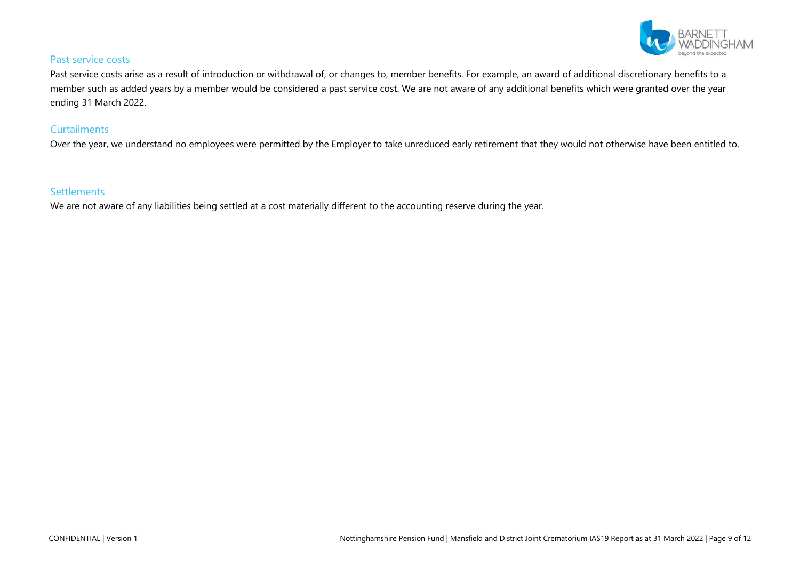

#### Past service costs

Past service costs arise as a result of introduction or withdrawal of, or changes to, member benefits. For example, an award of additional discretionary benefits to a member such as added years by a member would be considered a past service cost. We are not aware of any additional benefits which were granted over the year ending 31 March 2022.

#### **Curtailments**

Over the year, we understand no employees were permitted by the Employer to take unreduced early retirement that they would not otherwise have been entitled to.

## **Settlements**

We are not aware of any liabilities being settled at a cost materially different to the accounting reserve during the year.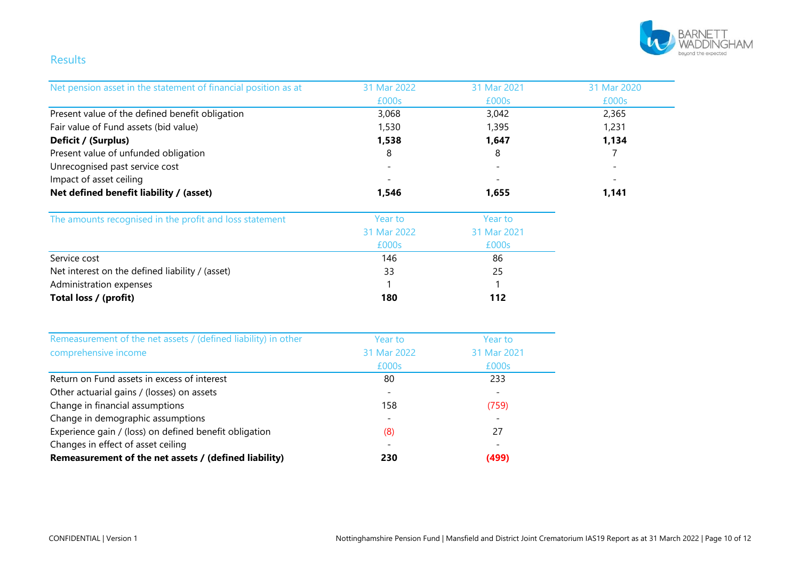

## Results

| Net pension asset in the statement of financial position as at | 31 Mar 2022 | 31 Mar 2021 | 31 Mar 2020 |
|----------------------------------------------------------------|-------------|-------------|-------------|
|                                                                | £000s       | £000s       | £000s       |
| Present value of the defined benefit obligation                | 3,068       | 3,042       | 2,365       |
| Fair value of Fund assets (bid value)                          | 1,530       | 1,395       | 1,231       |
| Deficit / (Surplus)                                            | 1,538       | 1,647       | 1,134       |
| Present value of unfunded obligation                           | 8           | 8           | 7           |
| Unrecognised past service cost                                 |             |             |             |
| Impact of asset ceiling                                        |             |             |             |
| Net defined benefit liability / (asset)                        | 1,546       | 1,655       | 1,141       |
| The amounts recognised in the profit and loss statement        | Year to     | Year to     |             |
|                                                                | 31 Mar 2022 | 31 Mar 2021 |             |
|                                                                | £000s       | £000s       |             |
| Service cost                                                   | 146         | 86          |             |
| Net interest on the defined liability / (asset)                | 33          | 25          |             |
| Administration expenses                                        |             |             |             |
| Total loss / (profit)                                          | 180         | 112         |             |
| Remeasurement of the net assets / (defined liability) in other | Year to     | Year to     |             |
| comprehensive income                                           | 31 Mar 2022 | 31 Mar 2021 |             |
|                                                                | £000s       | £000s       |             |
| Return on Fund assets in excess of interest                    | 80          | 233         |             |
| Other actuarial gains / (losses) on assets                     |             |             |             |
| Change in financial assumptions                                | 158         | (759)       |             |
| Change in demographic assumptions                              |             |             |             |
| Experience gain / (loss) on defined benefit obligation         | (8)         | 27          |             |
| Changes in effect of asset ceiling                             |             |             |             |
| Remeasurement of the net assets / (defined liability)          | 230         | (499)       |             |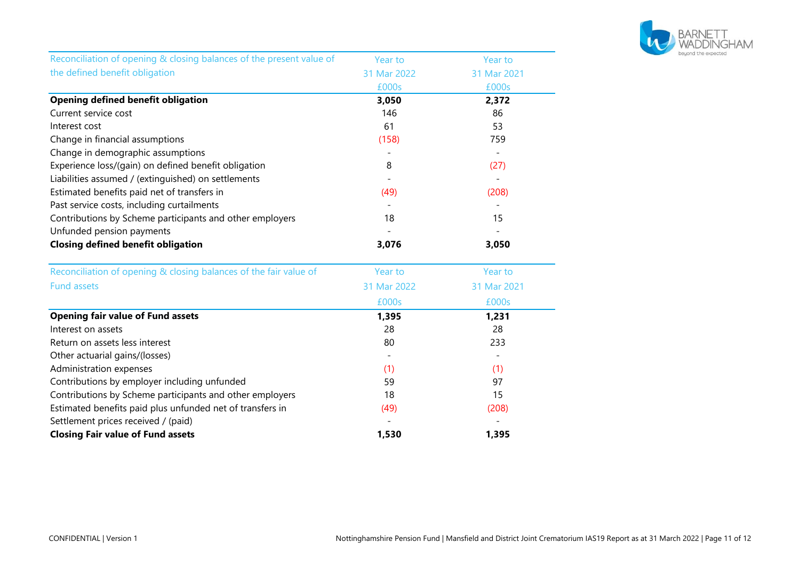

| Reconciliation of opening & closing balances of the present value of | Year to     | Year to     |
|----------------------------------------------------------------------|-------------|-------------|
| the defined benefit obligation                                       | 31 Mar 2022 | 31 Mar 2021 |
|                                                                      | £000s       | £000s       |
| <b>Opening defined benefit obligation</b>                            | 3,050       | 2,372       |
| Current service cost                                                 | 146         | 86          |
| Interest cost                                                        | 61          | 53          |
| Change in financial assumptions                                      | (158)       | 759         |
| Change in demographic assumptions                                    |             |             |
| Experience loss/(gain) on defined benefit obligation                 | 8           | (27)        |
| Liabilities assumed / (extinguished) on settlements                  |             |             |
| Estimated benefits paid net of transfers in                          | (49)        | (208)       |
| Past service costs, including curtailments                           |             |             |
| Contributions by Scheme participants and other employers             | 18          | 15          |
| Unfunded pension payments                                            |             |             |
| <b>Closing defined benefit obligation</b>                            | 3,076       | 3,050       |
| Reconciliation of opening & closing balances of the fair value of    | Year to     | Year to     |
| <b>Fund assets</b>                                                   | 31 Mar 2022 | 31 Mar 2021 |
|                                                                      | £000s       | £000s       |
| <b>Opening fair value of Fund assets</b>                             | 1,395       | 1,231       |
| Interest on assets                                                   | 28          | 28          |
| Return on assets less interest                                       | 80          | 233         |
| Other actuarial gains/(losses)                                       |             |             |
| Administration expenses                                              | (1)         | (1)         |
| Contributions by employer including unfunded                         | 59          | 97          |
| Contributions by Scheme participants and other employers             | 18          | 15          |
| Estimated benefits paid plus unfunded net of transfers in            | (49)        | (208)       |
| Settlement prices received / (paid)                                  |             |             |
| <b>Closing Fair value of Fund assets</b>                             | 1,530       | 1,395       |